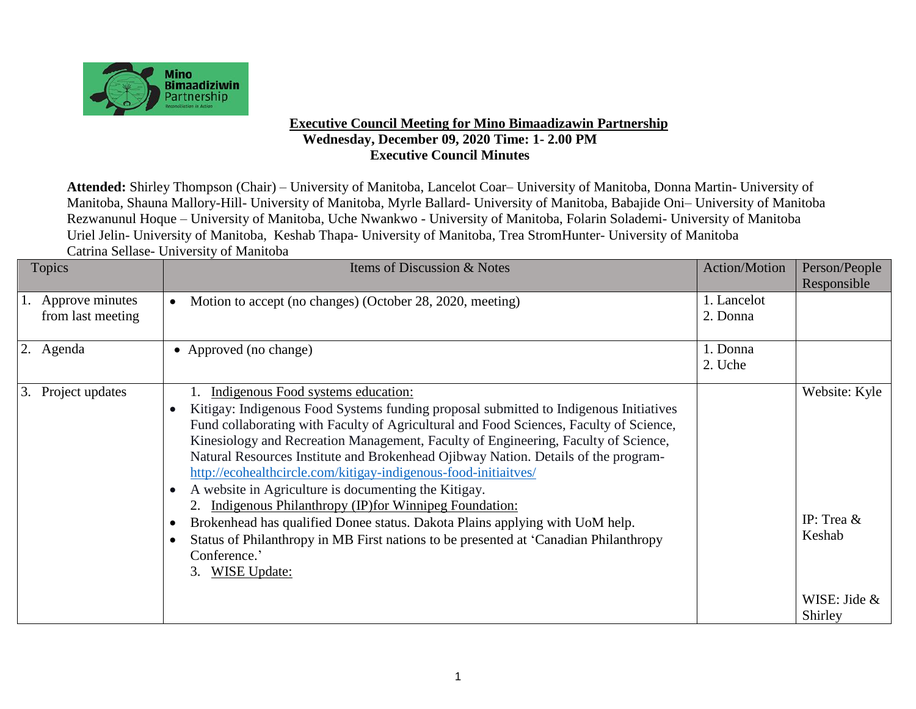

## **Executive Council Meeting for Mino Bimaadizawin Partnership Wednesday, December 09, 2020 Time: 1- 2.00 PM Executive Council Minutes**

**Attended:** Shirley Thompson (Chair) – University of Manitoba, Lancelot Coar– University of Manitoba, Donna Martin- University of Manitoba, Shauna Mallory-Hill- University of Manitoba, Myrle Ballard- University of Manitoba, Babajide Oni– University of Manitoba Rezwanunul Hoque – University of Manitoba, Uche Nwankwo - University of Manitoba, Folarin Solademi- University of Manitoba Uriel Jelin- University of Manitoba, Keshab Thapa- University of Manitoba, Trea StromHunter- University of Manitoba Catrina Sellase- University of Manitoba

| <b>Topics</b>                           | Items of Discussion & Notes                                                                                                                                                                                                                                                                                                                                                                                                                                                                                                                                                                                        | Action/Motion           | Person/People           |
|-----------------------------------------|--------------------------------------------------------------------------------------------------------------------------------------------------------------------------------------------------------------------------------------------------------------------------------------------------------------------------------------------------------------------------------------------------------------------------------------------------------------------------------------------------------------------------------------------------------------------------------------------------------------------|-------------------------|-------------------------|
| 1. Approve minutes<br>from last meeting | Motion to accept (no changes) (October 28, 2020, meeting)<br>$\bullet$                                                                                                                                                                                                                                                                                                                                                                                                                                                                                                                                             | 1. Lancelot<br>2. Donna | Responsible             |
| 2. Agenda                               | • Approved (no change)                                                                                                                                                                                                                                                                                                                                                                                                                                                                                                                                                                                             | 1. Donna<br>2. Uche     |                         |
| Project updates<br>3.                   | Indigenous Food systems education:<br>Kitigay: Indigenous Food Systems funding proposal submitted to Indigenous Initiatives<br>$\bullet$<br>Fund collaborating with Faculty of Agricultural and Food Sciences, Faculty of Science,<br>Kinesiology and Recreation Management, Faculty of Engineering, Faculty of Science,<br>Natural Resources Institute and Brokenhead Ojibway Nation. Details of the program-<br>http://ecohealthcircle.com/kitigay-indigenous-food-initiaitves/<br>A website in Agriculture is documenting the Kitigay.<br>$\bullet$<br>2. Indigenous Philanthropy (IP) for Winnipeg Foundation: |                         | Website: Kyle           |
|                                         | Brokenhead has qualified Donee status. Dakota Plains applying with UoM help.<br>$\bullet$<br>Status of Philanthropy in MB First nations to be presented at 'Canadian Philanthropy<br>$\bullet$<br>Conference.'<br>3. WISE Update:                                                                                                                                                                                                                                                                                                                                                                                  |                         | IP: Trea $&$<br>Keshab  |
|                                         |                                                                                                                                                                                                                                                                                                                                                                                                                                                                                                                                                                                                                    |                         | WISE: Jide &<br>Shirley |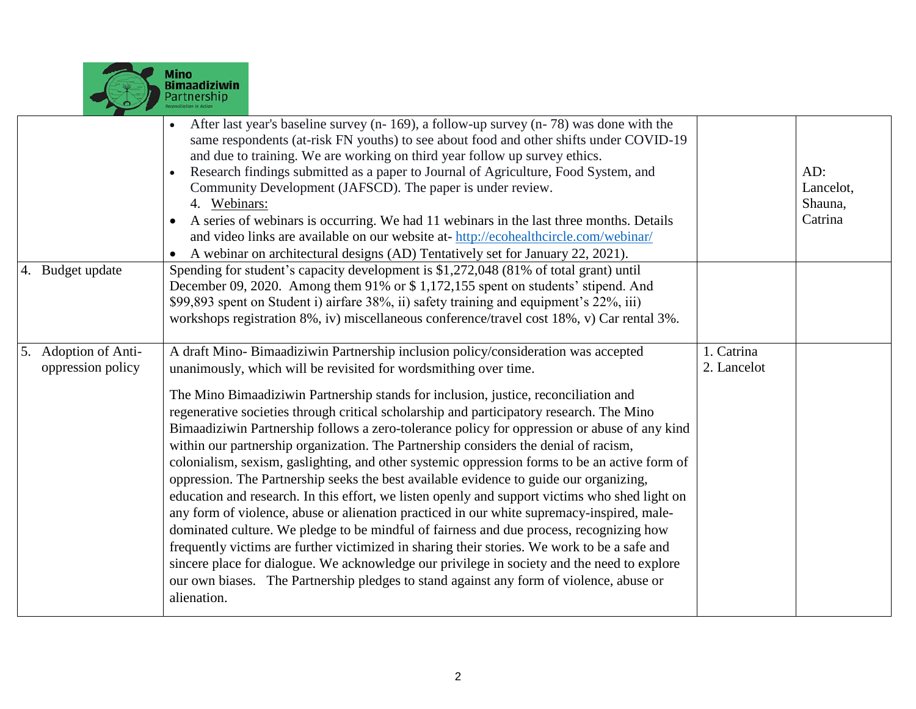

|                                              | After last year's baseline survey (n- 169), a follow-up survey (n- 78) was done with the<br>same respondents (at-risk FN youths) to see about food and other shifts under COVID-19<br>and due to training. We are working on third year follow up survey ethics.<br>Research findings submitted as a paper to Journal of Agriculture, Food System, and<br>Community Development (JAFSCD). The paper is under review.<br>4. Webinars:<br>A series of webinars is occurring. We had 11 webinars in the last three months. Details<br>and video links are available on our website at-http://ecohealthcircle.com/webinar/<br>A webinar on architectural designs (AD) Tentatively set for January 22, 2021).                                                                                                                                                                                                                                                                                                                                                                                                                                                                                                                                                                                                                        |                           | AD:<br>Lancelot,<br>Shauna,<br>Catrina |
|----------------------------------------------|---------------------------------------------------------------------------------------------------------------------------------------------------------------------------------------------------------------------------------------------------------------------------------------------------------------------------------------------------------------------------------------------------------------------------------------------------------------------------------------------------------------------------------------------------------------------------------------------------------------------------------------------------------------------------------------------------------------------------------------------------------------------------------------------------------------------------------------------------------------------------------------------------------------------------------------------------------------------------------------------------------------------------------------------------------------------------------------------------------------------------------------------------------------------------------------------------------------------------------------------------------------------------------------------------------------------------------|---------------------------|----------------------------------------|
| 4. Budget update                             | Spending for student's capacity development is \$1,272,048 (81% of total grant) until<br>December 09, 2020. Among them 91% or \$1,172,155 spent on students' stipend. And<br>\$99,893 spent on Student i) airfare 38%, ii) safety training and equipment's 22%, iii)<br>workshops registration 8%, iv) miscellaneous conference/travel cost 18%, v) Car rental 3%.                                                                                                                                                                                                                                                                                                                                                                                                                                                                                                                                                                                                                                                                                                                                                                                                                                                                                                                                                              |                           |                                        |
| Adoption of Anti-<br>5.<br>oppression policy | A draft Mino-Bimaadiziwin Partnership inclusion policy/consideration was accepted<br>unanimously, which will be revisited for wordsmithing over time.<br>The Mino Bimaadiziwin Partnership stands for inclusion, justice, reconciliation and<br>regenerative societies through critical scholarship and participatory research. The Mino<br>Bimaadiziwin Partnership follows a zero-tolerance policy for oppression or abuse of any kind<br>within our partnership organization. The Partnership considers the denial of racism,<br>colonialism, sexism, gaslighting, and other systemic oppression forms to be an active form of<br>oppression. The Partnership seeks the best available evidence to guide our organizing,<br>education and research. In this effort, we listen openly and support victims who shed light on<br>any form of violence, abuse or alienation practiced in our white supremacy-inspired, male-<br>dominated culture. We pledge to be mindful of fairness and due process, recognizing how<br>frequently victims are further victimized in sharing their stories. We work to be a safe and<br>sincere place for dialogue. We acknowledge our privilege in society and the need to explore<br>our own biases. The Partnership pledges to stand against any form of violence, abuse or<br>alienation. | 1. Catrina<br>2. Lancelot |                                        |